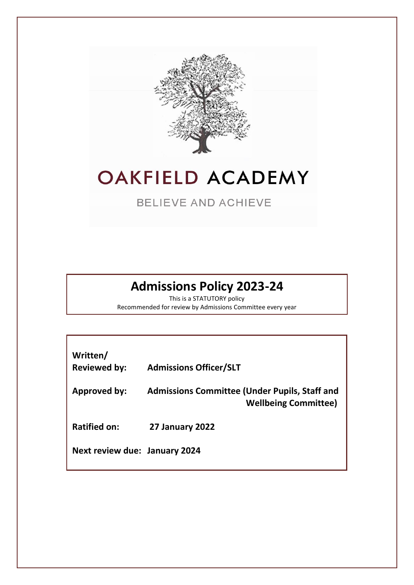

# **OAKFIELD ACADEMY**

**BELIEVE AND ACHIEVE** 

# **Admissions Policy 2023-24**

This is a STATUTORY policy Recommended for review by Admissions Committee every year

| Written/<br><b>Reviewed by:</b> | <b>Admissions Officer/SLT</b>                                                       |
|---------------------------------|-------------------------------------------------------------------------------------|
| Approved by:                    | <b>Admissions Committee (Under Pupils, Staff and</b><br><b>Wellbeing Committee)</b> |
| <b>Ratified on:</b>             | 27 January 2022                                                                     |
| Next review due: January 2024   |                                                                                     |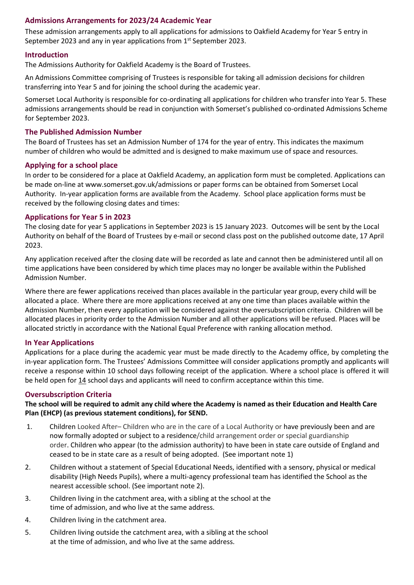# **Admissions Arrangements for 2023/24 Academic Year**

These admission arrangements apply to all applications for admissions to Oakfield Academy for Year 5 entry in September 2023 and any in year applications from 1<sup>st</sup> September 2023.

# **Introduction**

The Admissions Authority for Oakfield Academy is the Board of Trustees.

An Admissions Committee comprising of Trustees is responsible for taking all admission decisions for children transferring into Year 5 and for joining the school during the academic year.

Somerset Local Authority is responsible for co-ordinating all applications for children who transfer into Year 5. These admissions arrangements should be read in conjunction with Somerset's published co-ordinated Admissions Scheme for September 2023.

#### **The Published Admission Number**

The Board of Trustees has set an Admission Number of 174 for the year of entry. This indicates the maximum number of children who would be admitted and is designed to make maximum use of space and resources.

#### **Applying for a school place**

In order to be considered for a place at Oakfield Academy, an application form must be completed. Applications can be made on-line at www.somerset.gov.uk/admissions or paper forms can be obtained from Somerset Local Authority. In-year application forms are available from the Academy. School place application forms must be received by the following closing dates and times:

#### **Applications for Year 5 in 2023**

The closing date for year 5 applications in September 2023 is 15 January 2023. Outcomes will be sent by the Local Authority on behalf of the Board of Trustees by e-mail or second class post on the published outcome date, 17 April 2023.

Any application received after the closing date will be recorded as late and cannot then be administered until all on time applications have been considered by which time places may no longer be available within the Published Admission Number.

Where there are fewer applications received than places available in the particular year group, every child will be allocated a place. Where there are more applications received at any one time than places available within the Admission Number, then every application will be considered against the oversubscription criteria. Children will be allocated places in priority order to the Admission Number and all other applications will be refused. Places will be allocated strictly in accordance with the National Equal Preference with ranking allocation method.

# **In Year Applications**

Applications for a place during the academic year must be made directly to the Academy office, by completing the in-year application form. The Trustees' Admissions Committee will consider applications promptly and applicants will receive a response within 10 school days following receipt of the application. Where a school place is offered it will be held open for 14 school days and applicants will need to confirm acceptance within this time.

# **Oversubscription Criteria**

**The school will be required to admit any child where the Academy is named as their Education and Health Care Plan (EHCP) (as previous statement conditions), for SEND.**

- 1. Children Looked After– Children who are in the care of a Local Authority or have previously been and are now formally adopted or subject to a residence/child arrangement order or special guardianship order. Children who appear (to the admission authority) to have been in state care outside of England and ceased to be in state care as a result of being adopted. (See important note 1)
- 2. Children without a statement of Special Educational Needs, identified with a sensory, physical or medical disability (High Needs Pupils), where a multi-agency professional team has identified the School as the nearest accessible school. (See important note 2).
- 3. Children living in the catchment area, with a sibling at the school at the time of admission, and who live at the same address.
- 4. Children living in the catchment area.
- 5. Children living outside the catchment area, with a sibling at the school at the time of admission, and who live at the same address.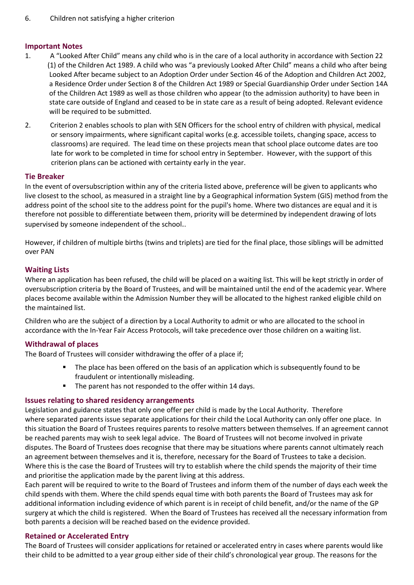#### **Important Notes**

- 1. A "Looked After Child" means any child who is in the care of a local authority in accordance with Section 22 (1) of the Children Act 1989. A child who was "a previously Looked After Child" means a child who after being Looked After became subject to an Adoption Order under Section 46 of the Adoption and Children Act 2002, a Residence Order under Section 8 of the Children Act 1989 or Special Guardianship Order under Section 14A of the Children Act 1989 as well as those children who appear (to the admission authority) to have been in state care outside of England and ceased to be in state care as a result of being adopted. Relevant evidence will be required to be submitted.
- 2. Criterion 2 enables schools to plan with SEN Officers for the school entry of children with physical, medical or sensory impairments, where significant capital works (e.g. accessible toilets, changing space, access to classrooms) are required. The lead time on these projects mean that school place outcome dates are too late for work to be completed in time for school entry in September. However, with the support of this criterion plans can be actioned with certainty early in the year.

#### **Tie Breaker**

In the event of oversubscription within any of the criteria listed above, preference will be given to applicants who live closest to the school, as measured in a straight line by a Geographical information System (GIS) method from the address point of the school site to the address point for the pupil's home. Where two distances are equal and it is therefore not possible to differentiate between them, priority will be determined by independent drawing of lots supervised by someone independent of the school..

However, if children of multiple births (twins and triplets) are tied for the final place, those siblings will be admitted over PAN

#### **Waiting Lists**

Where an application has been refused, the child will be placed on a waiting list. This will be kept strictly in order of oversubscription criteria by the Board of Trustees, and will be maintained until the end of the academic year. Where places become available within the Admission Number they will be allocated to the highest ranked eligible child on the maintained list.

Children who are the subject of a direction by a Local Authority to admit or who are allocated to the school in accordance with the In-Year Fair Access Protocols, will take precedence over those children on a waiting list.

# **Withdrawal of places**

The Board of Trustees will consider withdrawing the offer of a place if;

- The place has been offered on the basis of an application which is subsequently found to be fraudulent or intentionally misleading.
- The parent has not responded to the offer within 14 days.

#### **Issues relating to shared residency arrangements**

Legislation and guidance states that only one offer per child is made by the Local Authority. Therefore where separated parents issue separate applications for their child the Local Authority can only offer one place. In this situation the Board of Trustees requires parents to resolve matters between themselves. If an agreement cannot be reached parents may wish to seek legal advice. The Board of Trustees will not become involved in private disputes. The Board of Trustees does recognise that there may be situations where parents cannot ultimately reach an agreement between themselves and it is, therefore, necessary for the Board of Trustees to take a decision. Where this is the case the Board of Trustees will try to establish where the child spends the majority of their time and prioritise the application made by the parent living at this address.

Each parent will be required to write to the Board of Trustees and inform them of the number of days each week the child spends with them. Where the child spends equal time with both parents the Board of Trustees may ask for additional information including evidence of which parent is in receipt of child benefit, and/or the name of the GP surgery at which the child is registered. When the Board of Trustees has received all the necessary information from both parents a decision will be reached based on the evidence provided.

# **Retained or Accelerated Entry**

The Board of Trustees will consider applications for retained or accelerated entry in cases where parents would like their child to be admitted to a year group either side of their child's chronological year group. The reasons for the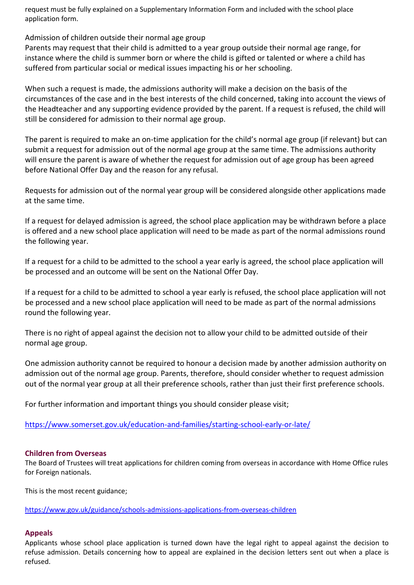request must be fully explained on a Supplementary Information Form and included with the school place application form.

Admission of children outside their normal age group

Parents may request that their child is admitted to a year group outside their normal age range, for instance where the child is summer born or where the child is gifted or talented or where a child has suffered from particular social or medical issues impacting his or her schooling.

When such a request is made, the admissions authority will make a decision on the basis of the circumstances of the case and in the best interests of the child concerned, taking into account the views of the Headteacher and any supporting evidence provided by the parent. If a request is refused, the child will still be considered for admission to their normal age group.

The parent is required to make an on-time application for the child's normal age group (if relevant) but can submit a request for admission out of the normal age group at the same time. The admissions authority will ensure the parent is aware of whether the request for admission out of age group has been agreed before National Offer Day and the reason for any refusal.

Requests for admission out of the normal year group will be considered alongside other applications made at the same time.

If a request for delayed admission is agreed, the school place application may be withdrawn before a place is offered and a new school place application will need to be made as part of the normal admissions round the following year.

If a request for a child to be admitted to the school a year early is agreed, the school place application will be processed and an outcome will be sent on the National Offer Day.

If a request for a child to be admitted to school a year early is refused, the school place application will not be processed and a new school place application will need to be made as part of the normal admissions round the following year.

There is no right of appeal against the decision not to allow your child to be admitted outside of their normal age group.

One admission authority cannot be required to honour a decision made by another admission authority on admission out of the normal age group. Parents, therefore, should consider whether to request admission out of the normal year group at all their preference schools, rather than just their first preference schools.

For further information and important things you should consider please visit;

<https://www.somerset.gov.uk/education-and-families/starting-school-early-or-late/>

# **Children from Overseas**

The Board of Trustees will treat applications for children coming from overseas in accordance with Home Office rules for Foreign nationals.

This is the most recent guidance;

[https://www.gov.uk/guidance/schools-admissions-applications-from-overseas-children](https://eur01.safelinks.protection.outlook.com/?url=https%3A%2F%2Fwww.gov.uk%2Fguidance%2Fschools-admissions-applications-from-overseas-children&data=04%7C01%7CLBanks%40somerset.gov.uk%7C856eeff398844c1bcd1108d88d44686b%7Cb524f606f77a4aa28da2fe70343b0cce%7C0%7C0%7C637414672227797487%7CUnknown%7CTWFpbGZsb3d8eyJWIjoiMC4wLjAwMDAiLCJQIjoiV2luMzIiLCJBTiI6Ik1haWwiLCJXVCI6Mn0%3D%7C1000&sdata=p4e16VqHZyPrcKt9WFcCFxZ1iDAZM8Uq0xSpNuTdOJI%3D&reserved=0)

# **Appeals**

Applicants whose school place application is turned down have the legal right to appeal against the decision to refuse admission. Details concerning how to appeal are explained in the decision letters sent out when a place is refused.